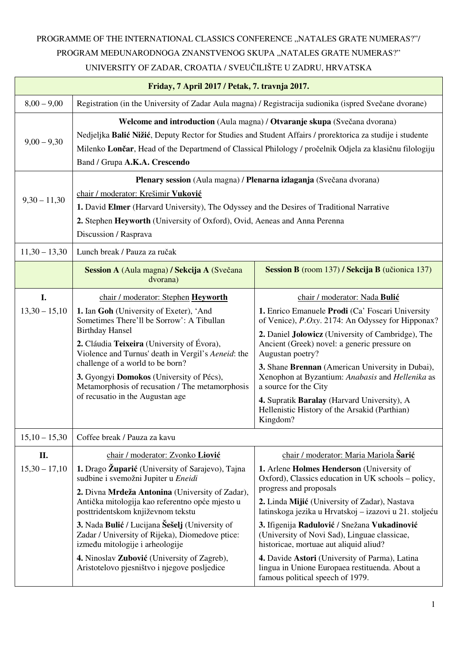## PROGRAMME OF THE INTERNATIONAL CLASSICS CONFERENCE ,,NATALES GRATE NUMERAS?"/ PROGRAM MEĐUNARODNOGA ZNANSTVENOG SKUPA "NATALES GRATE NUMERAS?" UNIVERSITY OF ZADAR, CROATIA / SVEUČILIŠTE U ZADRU, HRVATSKA

| Friday, 7 April 2017 / Petak, 7. travnja 2017. |                                                                                                                                                                                                                                                                                                                                    |                                                                                                                                        |  |  |
|------------------------------------------------|------------------------------------------------------------------------------------------------------------------------------------------------------------------------------------------------------------------------------------------------------------------------------------------------------------------------------------|----------------------------------------------------------------------------------------------------------------------------------------|--|--|
| $8,00 - 9,00$                                  | Registration (in the University of Zadar Aula magna) / Registracija sudionika (ispred Svečane dvorane)                                                                                                                                                                                                                             |                                                                                                                                        |  |  |
| $9,00 - 9,30$                                  | Welcome and introduction (Aula magna) / Otvaranje skupa (Svečana dvorana)<br>Nedjeljka Balić Nižić, Deputy Rector for Studies and Student Affairs / prorektorica za studije i studente<br>Milenko Lončar, Head of the Departmend of Classical Philology / pročelnik Odjela za klasičnu filologiju<br>Band / Grupa A.K.A. Crescendo |                                                                                                                                        |  |  |
| $9,30 - 11,30$                                 | Plenary session (Aula magna) / Plenarna izlaganja (Svečana dvorana)<br>chair / moderator: Krešimir Vuković<br>1. David Elmer (Harvard University), The Odyssey and the Desires of Traditional Narrative<br>2. Stephen Heyworth (University of Oxford), Ovid, Aeneas and Anna Perenna<br>Discussion / Rasprava                      |                                                                                                                                        |  |  |
| $11,30 - 13,30$                                | Lunch break / Pauza za ručak                                                                                                                                                                                                                                                                                                       |                                                                                                                                        |  |  |
|                                                | Session A (Aula magna) / Sekcija A (Svečana<br>dvorana)                                                                                                                                                                                                                                                                            | Session B (room 137) / Sekcija B (učionica 137)                                                                                        |  |  |
| I.                                             | chair / moderator: Stephen Heyworth                                                                                                                                                                                                                                                                                                | chair / moderator: Nada Bulić                                                                                                          |  |  |
| $13,30 - 15,10$                                | 1. Ian Goh (University of Exeter), 'And<br>Sometimes There'll be Sorrow': A Tibullan<br><b>Birthday Hansel</b>                                                                                                                                                                                                                     | 1. Enrico Emanuele Prodi (Ca' Foscari University<br>of Venice), P.Oxy. 2174: An Odyssey for Hipponax?                                  |  |  |
|                                                | 2. Cláudia Teixeira (University of Évora),<br>Violence and Turnus' death in Vergil's Aeneid: the                                                                                                                                                                                                                                   | 2. Daniel Jolowicz (University of Cambridge), The<br>Ancient (Greek) novel: a generic pressure on<br>Augustan poetry?                  |  |  |
|                                                | challenge of a world to be born?<br>3. Gyongyi Domokos (University of Pécs),<br>Metamorphosis of recusation / The metamorphosis                                                                                                                                                                                                    | 3. Shane Brennan (American University in Dubai),<br>Xenophon at Byzantium: Anabasis and Hellenika as<br>a source for the City          |  |  |
|                                                | of recusatio in the Augustan age                                                                                                                                                                                                                                                                                                   | 4. Supratik Baralay (Harvard University), A<br>Hellenistic History of the Arsakid (Parthian)<br>Kingdom?                               |  |  |
| $15,10 - 15,30$                                | Coffee break / Pauza za kavu                                                                                                                                                                                                                                                                                                       |                                                                                                                                        |  |  |
| II.                                            | chair / moderator: Zvonko Liović                                                                                                                                                                                                                                                                                                   | chair / moderator: Maria Mariola Šarić                                                                                                 |  |  |
| $15,30 - 17,10$                                | 1. Drago Župarić (University of Sarajevo), Tajna<br>sudbine i svemožni Jupiter u Eneidi                                                                                                                                                                                                                                            | 1. Arlene Holmes Henderson (University of<br>Oxford), Classics education in UK schools – policy,                                       |  |  |
|                                                | 2. Divna Mrdeža Antonina (University of Zadar),<br>Antička mitologija kao referentno opće mjesto u<br>posttridentskom književnom tekstu                                                                                                                                                                                            | progress and proposals<br>2. Linda Mijić (University of Zadar), Nastava<br>latinskoga jezika u Hrvatskoj – izazovi u 21. stoljeću      |  |  |
|                                                | 3. Nada Bulić / Lucijana Šešelj (University of<br>Zadar / University of Rijeka), Diomedove ptice:<br>između mitologije i arheologije                                                                                                                                                                                               | 3. Ifigenija Radulović / Snežana Vukadinović<br>(University of Novi Sad), Linguae classicae,<br>historicae, mortuae aut aliquid aliud? |  |  |
|                                                | 4. Ninoslav Zubović (University of Zagreb),<br>Aristotelovo pjesništvo i njegove posljedice                                                                                                                                                                                                                                        | 4. Davide Astori (University of Parma), Latina<br>lingua in Unione Europaea restituenda. About a<br>famous political speech of 1979.   |  |  |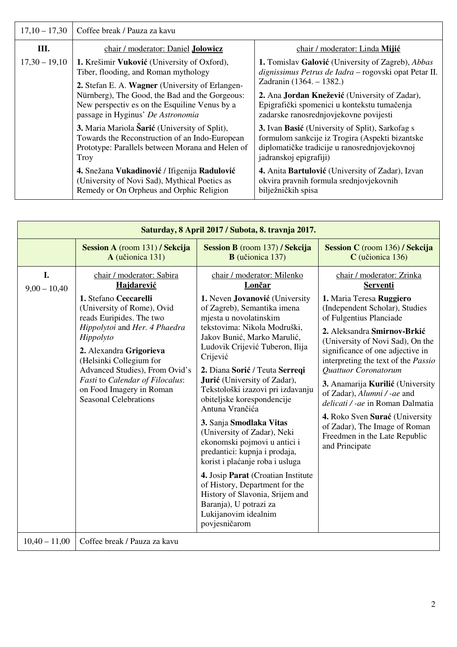| $17,10 - 17,30$ | Coffee break / Pauza za kavu                                                                                                                                |                                                                                                                                                                                      |  |
|-----------------|-------------------------------------------------------------------------------------------------------------------------------------------------------------|--------------------------------------------------------------------------------------------------------------------------------------------------------------------------------------|--|
| Ш.              | chair / moderator: Daniel Jolowicz                                                                                                                          | chair / moderator: Linda Mijić                                                                                                                                                       |  |
| $17,30 - 19,10$ | 1. Krešimir Vuković (University of Oxford),<br>Tiber, flooding, and Roman mythology<br>2. Stefan E. A. Wagner (University of Erlangen-                      | 1. Tomislav Galović (University of Zagreb), Abbas<br>dignissimus Petrus de Iadra - rogovski opat Petar II.<br>Zadranin (1364. – 1382.)                                               |  |
|                 | Nürnberg), The Good, the Bad and the Gorgeous:<br>New perspectives on the Esquiline Venus by a<br>passage in Hyginus' De Astronomia                         | 2. Ana Jordan Knežević (University of Zadar),<br>Epigrafički spomenici u kontekstu tumačenja<br>zadarske ranosrednjovjekovne povijesti                                               |  |
|                 | 3. Maria Mariola Šarić (University of Split),<br>Towards the Reconstruction of an Indo-European<br>Prototype: Parallels between Morana and Helen of<br>Troy | <b>3.</b> Ivan Basić (University of Split), Sarkofag s<br>formulom sankcije iz Trogira (Aspekti bizantske<br>diplomatičke tradicije u ranosrednjovjekovnoj<br>jadranskoj epigrafiji) |  |
|                 | 4. Snežana Vukadinović / Ifigenija Radulović<br>(University of Novi Sad), Mythical Poetics as<br>Remedy or On Orpheus and Orphic Religion                   | 4. Anita Bartulović (University of Zadar), Izvan<br>okvira pravnih formula srednjovjekovnih<br>bilježničkih spisa                                                                    |  |

| Saturday, 8 April 2017 / Subota, 8. travnja 2017. |                                                                                                                                                                                                                                                                                                                                                                 |                                                                                                                                                                                                                                                                                                                                                                                                                                                                                                                                                                                                                                                                                                                                                   |                                                                                                                                                                                                                                                                                                                                                                                                                                                                                                                                                 |  |  |
|---------------------------------------------------|-----------------------------------------------------------------------------------------------------------------------------------------------------------------------------------------------------------------------------------------------------------------------------------------------------------------------------------------------------------------|---------------------------------------------------------------------------------------------------------------------------------------------------------------------------------------------------------------------------------------------------------------------------------------------------------------------------------------------------------------------------------------------------------------------------------------------------------------------------------------------------------------------------------------------------------------------------------------------------------------------------------------------------------------------------------------------------------------------------------------------------|-------------------------------------------------------------------------------------------------------------------------------------------------------------------------------------------------------------------------------------------------------------------------------------------------------------------------------------------------------------------------------------------------------------------------------------------------------------------------------------------------------------------------------------------------|--|--|
|                                                   | Session A (room 131) / Sekcija<br>A (učionica 131)                                                                                                                                                                                                                                                                                                              | Session B (room 137) / Sekcija<br><b>B</b> (učionica 137)                                                                                                                                                                                                                                                                                                                                                                                                                                                                                                                                                                                                                                                                                         | Session C (room 136) / Sekcija<br>C (učionica 136)                                                                                                                                                                                                                                                                                                                                                                                                                                                                                              |  |  |
| I.<br>$9,00 - 10,40$                              | chair / moderator: Sabira<br>Hajdarević<br>1. Stefano Ceccarelli<br>(University of Rome), Ovid<br>reads Euripides. The two<br>Hippolytoi and Her. 4 Phaedra<br>Hippolyto<br>2. Alexandra Grigorieva<br>(Helsinki Collegium for<br>Advanced Studies), From Ovid's<br>Fasti to Calendar of Filocalus:<br>on Food Imagery in Roman<br><b>Seasonal Celebrations</b> | chair / moderator: Milenko<br>Lončar<br>1. Neven Jovanović (University<br>of Zagreb), Semantika imena<br>mjesta u novolatinskim<br>tekstovima: Nikola Modruški,<br>Jakov Bunić, Marko Marulić,<br>Ludovik Crijević Tuberon, Ilija<br>Crijević<br>2. Diana Sorić / Teuta Serreqi<br>Jurić (University of Zadar),<br>Tekstološki izazovi pri izdavanju<br>obiteljske korespondencije<br>Antuna Vrančića<br>3. Sanja Smodlaka Vitas<br>(University of Zadar), Neki<br>ekonomski pojmovi u antici i<br>predantici: kupnja i prodaja,<br>korist i plaćanje roba i usluga<br>4. Josip Parat (Croatian Institute<br>of History, Department for the<br>History of Slavonia, Srijem and<br>Baranja), U potrazi za<br>Lukijanovim idealnim<br>povjesničarom | chair / moderator: Zrinka<br><b>Serventi</b><br>1. Maria Teresa Ruggiero<br>(Independent Scholar), Studies<br>of Fulgentius Planciade<br>2. Aleksandra Smirnov-Brkić<br>(University of Novi Sad), On the<br>significance of one adjective in<br>interpreting the text of the <i>Passio</i><br>Quattuor Coronatorum<br>3. Anamarija Kurilić (University<br>of Zadar), Alumni / -ae and<br>delicati / -ae in Roman Dalmatia<br>4. Roko Sven Surać (University<br>of Zadar), The Image of Roman<br>Freedmen in the Late Republic<br>and Principate |  |  |
| $10,40 - 11,00$                                   | Coffee break / Pauza za kavu                                                                                                                                                                                                                                                                                                                                    |                                                                                                                                                                                                                                                                                                                                                                                                                                                                                                                                                                                                                                                                                                                                                   |                                                                                                                                                                                                                                                                                                                                                                                                                                                                                                                                                 |  |  |